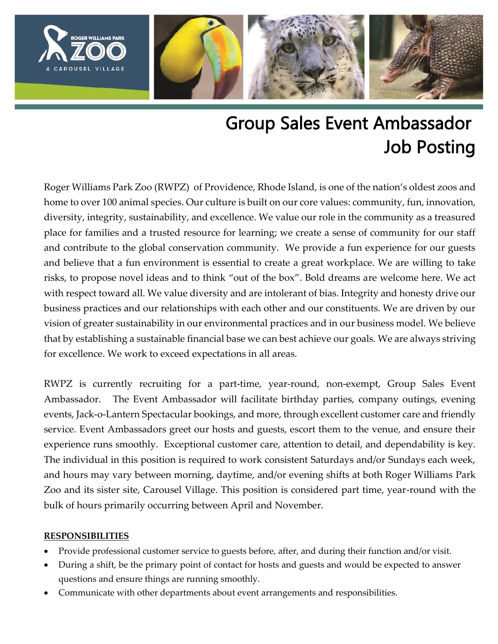

# Group Sales Event Ambassador Job Posting

Roger Williams Park Zoo (RWPZ) of Providence, Rhode Island, is one of the nation's oldest zoos and home to over 100 animal species. Our culture is built on our core values: community, fun, innovation, diversity, integrity, sustainability, and excellence. We value our role in the community as a treasured place for families and a trusted resource for learning; we create a sense of community for our staff and contribute to the global conservation community. We provide a fun experience for our guests and believe that a fun environment is essential to create a great workplace. We are willing to take risks, to propose novel ideas and to think "out of the box". Bold dreams are welcome here. We act with respect toward all. We value diversity and are intolerant of bias. Integrity and honesty drive our business practices and our relationships with each other and our constituents. We are driven by our vision of greater sustainability in our environmental practices and in our business model. We believe that by establishing a sustainable financial base we can best achieve our goals. We are always striving for excellence. We work to exceed expectations in all areas.

RWPZ is currently recruiting for a part-time, year-round, non-exempt, Group Sales Event Ambassador. The Event Ambassador will facilitate birthday parties, company outings, evening events, Jack-o-Lantern Spectacular bookings, and more, through excellent customer care and friendly service. Event Ambassadors greet our hosts and guests, escort them to the venue, and ensure their experience runs smoothly. Exceptional customer care, attention to detail, and dependability is key. The individual in this position is required to work consistent Saturdays and/or Sundays each week, and hours may vary between morning, daytime, and/or evening shifts at both Roger Williams Park Zoo and its sister site, Carousel Village. This position is considered part time, year-round with the bulk of hours primarily occurring between April and November.

### **RESPONSIBILITIES**

- Provide professional customer service to guests before, after, and during their function and/or visit.
- During a shift, be the primary point of contact for hosts and guests and would be expected to answer questions and ensure things are running smoothly.
- Communicate with other departments about event arrangements and responsibilities.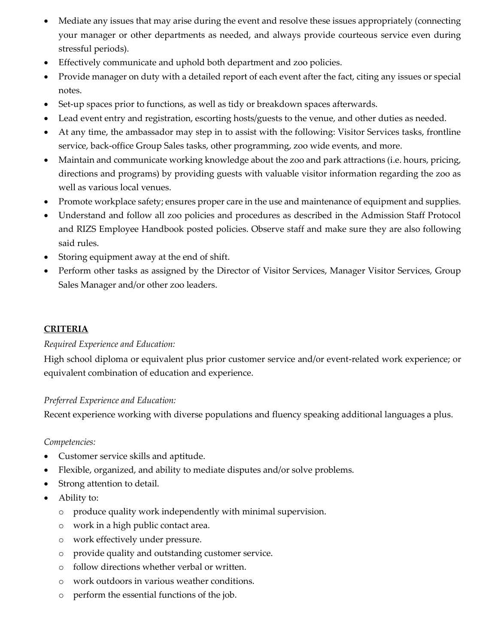- Mediate any issues that may arise during the event and resolve these issues appropriately (connecting your manager or other departments as needed, and always provide courteous service even during stressful periods).
- Effectively communicate and uphold both department and zoo policies.
- Provide manager on duty with a detailed report of each event after the fact, citing any issues or special notes.
- Set-up spaces prior to functions, as well as tidy or breakdown spaces afterwards.
- Lead event entry and registration, escorting hosts/guests to the venue, and other duties as needed.
- At any time, the ambassador may step in to assist with the following: Visitor Services tasks, frontline service, back-office Group Sales tasks, other programming, zoo wide events, and more.
- Maintain and communicate working knowledge about the zoo and park attractions (i.e. hours, pricing, directions and programs) by providing guests with valuable visitor information regarding the zoo as well as various local venues.
- Promote workplace safety; ensures proper care in the use and maintenance of equipment and supplies.
- Understand and follow all zoo policies and procedures as described in the Admission Staff Protocol and RIZS Employee Handbook posted policies. Observe staff and make sure they are also following said rules.
- Storing equipment away at the end of shift.
- Perform other tasks as assigned by the Director of Visitor Services, Manager Visitor Services, Group Sales Manager and/or other zoo leaders.

## **CRITERIA**

### *Required Experience and Education:*

High school diploma or equivalent plus prior customer service and/or event-related work experience; or equivalent combination of education and experience.

### *Preferred Experience and Education:*

Recent experience working with diverse populations and fluency speaking additional languages a plus.

### *Competencies:*

- Customer service skills and aptitude.
- Flexible, organized, and ability to mediate disputes and/or solve problems.
- Strong attention to detail.
- Ability to:
	- o produce quality work independently with minimal supervision.
	- o work in a high public contact area.
	- o work effectively under pressure.
	- o provide quality and outstanding customer service.
	- o follow directions whether verbal or written.
	- o work outdoors in various weather conditions.
	- o perform the essential functions of the job.